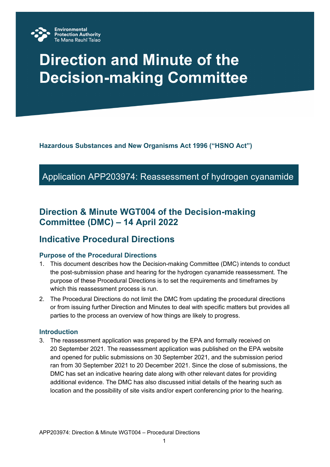

# **Direction and Minute of the Decision-making Committee**

**Hazardous Substances and New Organisms Act 1996 ("HSNO Act")**

# Application APP203974: Reassessment of hydrogen cyanamide

# **Direction & Minute WGT004 of the Decision-making Committee (DMC) – 14 April 2022**

# **Indicative Procedural Directions**

## **Purpose of the Procedural Directions**

- 1. This document describes how the Decision-making Committee (DMC) intends to conduct the post-submission phase and hearing for the hydrogen cyanamide reassessment. The purpose of these Procedural Directions is to set the requirements and timeframes by which this reassessment process is run.
- 2. The Procedural Directions do not limit the DMC from updating the procedural directions or from issuing further Direction and Minutes to deal with specific matters but provides all parties to the process an overview of how things are likely to progress.

## **Introduction**

3. The reassessment application was prepared by the EPA and formally received on 20 September 2021. The reassessment application was published on the EPA website and opened for public submissions on 30 September 2021, and the submission period ran from 30 September 2021 to 20 December 2021. Since the close of submissions, the DMC has set an indicative hearing date along with other relevant dates for providing additional evidence. The DMC has also discussed initial details of the hearing such as location and the possibility of site visits and/or expert conferencing prior to the hearing.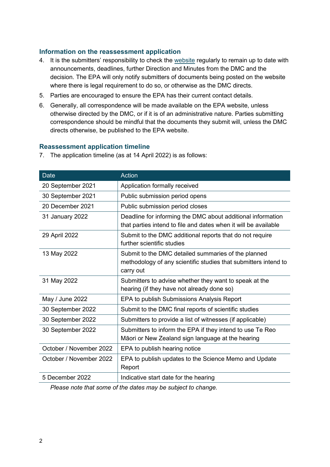### **Information on the reassessment application**

- 4. It is the submitters' responsibility to check the [website](https://www.epa.govt.nz/public-consultations/in-progress/hydrogen-cyanamide-reassessment/) regularly to remain up to date with announcements, deadlines, further Direction and Minutes from the DMC and the decision. The EPA will only notify submitters of documents being posted on the website where there is legal requirement to do so, or otherwise as the DMC directs.
- 5. Parties are encouraged to ensure the EPA has their current contact details.
- 6. Generally, all correspondence will be made available on the EPA website, unless otherwise directed by the DMC, or if it is of an administrative nature. Parties submitting correspondence should be mindful that the documents they submit will, unless the DMC directs otherwise, be published to the EPA website.

#### **Reassessment application timeline**

| <b>Date</b>             | <b>Action</b>                                                                                                                       |
|-------------------------|-------------------------------------------------------------------------------------------------------------------------------------|
| 20 September 2021       | Application formally received                                                                                                       |
| 30 September 2021       | Public submission period opens                                                                                                      |
| 20 December 2021        | Public submission period closes                                                                                                     |
| 31 January 2022         | Deadline for informing the DMC about additional information<br>that parties intend to file and dates when it will be available      |
| 29 April 2022           | Submit to the DMC additional reports that do not require<br>further scientific studies                                              |
| 13 May 2022             | Submit to the DMC detailed summaries of the planned<br>methodology of any scientific studies that submitters intend to<br>carry out |
| 31 May 2022             | Submitters to advise whether they want to speak at the<br>hearing (if they have not already done so)                                |
| May / June 2022         | EPA to publish Submissions Analysis Report                                                                                          |
| 30 September 2022       | Submit to the DMC final reports of scientific studies                                                                               |
| 30 September 2022       | Submitters to provide a list of witnesses (if applicable)                                                                           |
| 30 September 2022       | Submitters to inform the EPA if they intend to use Te Reo<br>Māori or New Zealand sign language at the hearing                      |
| October / November 2022 | EPA to publish hearing notice                                                                                                       |
| October / November 2022 | EPA to publish updates to the Science Memo and Update<br>Report                                                                     |
| 5 December 2022         | Indicative start date for the hearing                                                                                               |

7. The application timeline (as at 14 April 2022) is as follows:

*Please note that some of the dates may be subject to change.*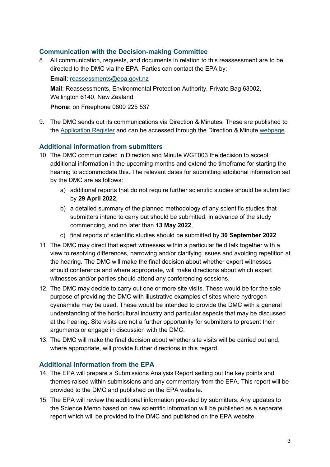# **Communication with the Decision-making Committee**

8. All communication, requests, and documents in relation to this reassessment are to be directed to the DMC via the EPA. Parties can contact the EPA by:

**Email**: [reassessments@epa.govt.nz](mailto:reassessments@epa.govt.nz)

**Mail**: Reassessments, Environmental Protection Authority, Private Bag 63002, Wellington 6140, New Zealand

**Phone:** on Freephone 0800 225 537

9. The DMC sends out its communications via Direction & Minutes. These are published to the [Application Register](https://www.epa.govt.nz/database-search/hsno-application-register/view/APP203974) and can be accessed through the Direction & Minute [webpage.](https://www.epa.govt.nz/public-consultations/in-progress/hydrogen-cyanamide-reassessment/direction-and-minutes/)

# **Additional information from submitters**

- 10. The DMC communicated in Direction and Minute WGT003 the decision to accept additional information in the upcoming months and extend the timeframe for starting the hearing to accommodate this. The relevant dates for submitting additional information set by the DMC are as follows:
	- a) additional reports that do not require further scientific studies should be submitted by **29 April 2022**,
	- b) a detailed summary of the planned methodology of any scientific studies that submitters intend to carry out should be submitted, in advance of the study commencing, and no later than **13 May 2022**,
	- c) final reports of scientific studies should be submitted by **30 September 2022**.
- 11. The DMC may direct that expert witnesses within a particular field talk together with a view to resolving differences, narrowing and/or clarifying issues and avoiding repetition at the hearing. The DMC will make the final decision about whether expert witnesses should conference and where appropriate, will make directions about which expert witnesses and/or parties should attend any conferencing sessions.
- 12. The DMC may decide to carry out one or more site visits. These would be for the sole purpose of providing the DMC with illustrative examples of sites where hydrogen cyanamide may be used. These would be intended to provide the DMC with a general understanding of the horticultural industry and particular aspects that may be discussed at the hearing. Site visits are not a further opportunity for submitters to present their arguments or engage in discussion with the DMC.
- 13. The DMC will make the final decision about whether site visits will be carried out and, where appropriate, will provide further directions in this regard.

# **Additional information from the EPA**

- 14. The EPA will prepare a Submissions Analysis Report setting out the key points and themes raised within submissions and any commentary from the EPA. This report will be provided to the DMC and published on the EPA website.
- 15. The EPA will review the additional information provided by submitters. Any updates to the Science Memo based on new scientific information will be published as a separate report which will be provided to the DMC and published on the EPA website.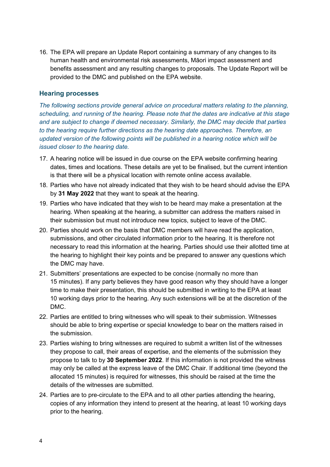16. The EPA will prepare an Update Report containing a summary of any changes to its human health and environmental risk assessments, Māori impact assessment and benefits assessment and any resulting changes to proposals. The Update Report will be provided to the DMC and published on the EPA website.

### **Hearing processes**

*The following sections provide general advice on procedural matters relating to the planning, scheduling, and running of the hearing. Please note that the dates are indicative at this stage and are subject to change if deemed necessary. Similarly, the DMC may decide that parties to the hearing require further directions as the hearing date approaches. Therefore, an updated version of the following points will be published in a hearing notice which will be issued closer to the hearing date.*

- 17. A hearing notice will be issued in due course on the EPA website confirming hearing dates, times and locations. These details are yet to be finalised, but the current intention is that there will be a physical location with remote online access available.
- 18. Parties who have not already indicated that they wish to be heard should advise the EPA by **31 May 2022** that they want to speak at the hearing.
- 19. Parties who have indicated that they wish to be heard may make a presentation at the hearing. When speaking at the hearing, a submitter can address the matters raised in their submission but must not introduce new topics, subject to leave of the DMC.
- 20. Parties should work on the basis that DMC members will have read the application, submissions, and other circulated information prior to the hearing. It is therefore not necessary to read this information at the hearing. Parties should use their allotted time at the hearing to highlight their key points and be prepared to answer any questions which the DMC may have.
- 21. Submitters' presentations are expected to be concise (normally no more than 15 minutes). If any party believes they have good reason why they should have a longer time to make their presentation, this should be submitted in writing to the EPA at least 10 working days prior to the hearing. Any such extensions will be at the discretion of the DMC.
- 22. Parties are entitled to bring witnesses who will speak to their submission. Witnesses should be able to bring expertise or special knowledge to bear on the matters raised in the submission.
- 23. Parties wishing to bring witnesses are required to submit a written list of the witnesses they propose to call, their areas of expertise, and the elements of the submission they propose to talk to by **30 September 2022**. If this information is not provided the witness may only be called at the express leave of the DMC Chair. If additional time (beyond the allocated 15 minutes) is required for witnesses, this should be raised at the time the details of the witnesses are submitted.
- 24. Parties are to pre-circulate to the EPA and to all other parties attending the hearing, copies of any information they intend to present at the hearing, at least 10 working days prior to the hearing.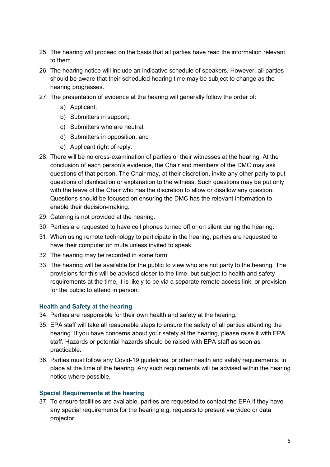- 25. The hearing will proceed on the basis that all parties have read the information relevant to them.
- 26. The hearing notice will include an indicative schedule of speakers. However, all parties should be aware that their scheduled hearing time may be subject to change as the hearing progresses.
- 27. The presentation of evidence at the hearing will generally follow the order of:
	- a) Applicant;
	- b) Submitters in support;
	- c) Submitters who are neutral;
	- d) Submitters in opposition; and
	- e) Applicant right of reply.
- 28. There will be no cross-examination of parties or their witnesses at the hearing. At the conclusion of each person's evidence, the Chair and members of the DMC may ask questions of that person. The Chair may, at their discretion, invite any other party to put questions of clarification or explanation to the witness. Such questions may be put only with the leave of the Chair who has the discretion to allow or disallow any question. Questions should be focused on ensuring the DMC has the relevant information to enable their decision-making.
- 29. Catering is not provided at the hearing.
- 30. Parties are requested to have cell phones turned off or on silent during the hearing.
- 31. When using remote technology to participate in the hearing, parties are requested to have their computer on mute unless invited to speak.
- 32. The hearing may be recorded in some form.
- 33. The hearing will be available for the public to view who are not party to the hearing. The provisions for this will be advised closer to the time, but subject to health and safety requirements at the time, it is likely to be via a separate remote access link, or provision for the public to attend in person.

#### **Health and Safety at the hearing**

- 34. Parties are responsible for their own health and safety at the hearing.
- 35. EPA staff will take all reasonable steps to ensure the safety of all parties attending the hearing. If you have concerns about your safety at the hearing, please raise it with EPA staff. Hazards or potential hazards should be raised with EPA staff as soon as practicable.
- 36. Parties must follow any Covid-19 guidelines, or other health and safety requirements, in place at the time of the hearing. Any such requirements will be advised within the hearing notice where possible.

#### **Special Requirements at the hearing**

37. To ensure facilities are available, parties are requested to contact the EPA if they have any special requirements for the hearing e.g. requests to present via video or data projector.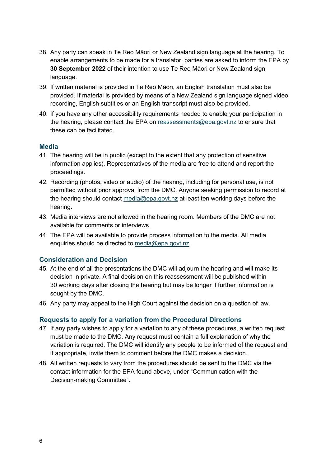- 38. Any party can speak in Te Reo Māori or New Zealand sign language at the hearing. To enable arrangements to be made for a translator, parties are asked to inform the EPA by **30 September 2022** of their intention to use Te Reo Māori or New Zealand sign language.
- 39. If written material is provided in Te Reo Māori, an English translation must also be provided. If material is provided by means of a New Zealand sign language signed video recording, English subtitles or an English transcript must also be provided.
- 40. If you have any other accessibility requirements needed to enable your participation in the hearing, please contact the EPA on [reassessments@epa.govt.nz](mailto:reassessments@epa.govt.nz) to ensure that these can be facilitated.

#### **Media**

- 41. The hearing will be in public (except to the extent that any protection of sensitive information applies). Representatives of the media are free to attend and report the proceedings.
- 42. Recording (photos, video or audio) of the hearing, including for personal use, is not permitted without prior approval from the DMC. Anyone seeking permission to record at the hearing should contact [media@epa.govt.nz](mailto:media@epa.govt.nz) at least ten working days before the hearing.
- 43. Media interviews are not allowed in the hearing room. Members of the DMC are not available for comments or interviews.
- 44. The EPA will be available to provide process information to the media. All media enquiries should be directed to [media@epa.govt.nz.](mailto:media@epa.govt.nz)

#### **Consideration and Decision**

- 45. At the end of all the presentations the DMC will adjourn the hearing and will make its decision in private. A final decision on this reassessment will be published within 30 working days after closing the hearing but may be longer if further information is sought by the DMC.
- 46. Any party may appeal to the High Court against the decision on a question of law.

#### **Requests to apply for a variation from the Procedural Directions**

- 47. If any party wishes to apply for a variation to any of these procedures, a written request must be made to the DMC. Any request must contain a full explanation of why the variation is required. The DMC will identify any people to be informed of the request and, if appropriate, invite them to comment before the DMC makes a decision.
- 48. All written requests to vary from the procedures should be sent to the DMC via the contact information for the EPA found above, under "Communication with the Decision-making Committee".